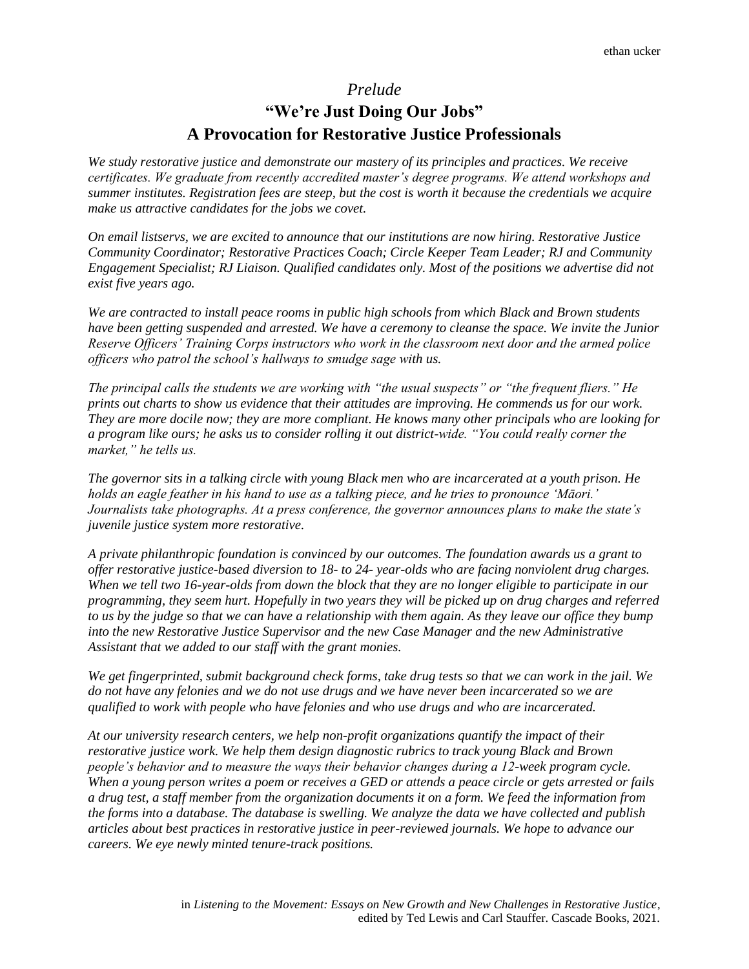## *Prelude*

## **"We're Just Doing Our Jobs" A Provocation for Restorative Justice Professionals**

*We study restorative justice and demonstrate our mastery of its principles and practices. We receive certificates. We graduate from recently accredited master's degree programs. We attend workshops and summer institutes. Registration fees are steep, but the cost is worth it because the credentials we acquire make us attractive candidates for the jobs we covet.*

*On email listservs, we are excited to announce that our institutions are now hiring. Restorative Justice Community Coordinator; Restorative Practices Coach; Circle Keeper Team Leader; RJ and Community Engagement Specialist; RJ Liaison. Qualified candidates only. Most of the positions we advertise did not exist five years ago.*

*We are contracted to install peace rooms in public high schools from which Black and Brown students have been getting suspended and arrested. We have a ceremony to cleanse the space. We invite the Junior Reserve Officers' Training Corps instructors who work in the classroom next door and the armed police officers who patrol the school's hallways to smudge sage with us.*

*The principal calls the students we are working with "the usual suspects" or "the frequent fliers." He prints out charts to show us evidence that their attitudes are improving. He commends us for our work. They are more docile now; they are more compliant. He knows many other principals who are looking for a program like ours; he asks us to consider rolling it out district-wide. "You could really corner the market," he tells us.*

*The governor sits in a talking circle with young Black men who are incarcerated at a youth prison. He holds an eagle feather in his hand to use as a talking piece, and he tries to pronounce 'Māori.' Journalists take photographs. At a press conference, the governor announces plans to make the state's juvenile justice system more restorative.*

*A private philanthropic foundation is convinced by our outcomes. The foundation awards us a grant to offer restorative justice-based diversion to 18- to 24- year-olds who are facing nonviolent drug charges. When we tell two 16-year-olds from down the block that they are no longer eligible to participate in our programming, they seem hurt. Hopefully in two years they will be picked up on drug charges and referred to us by the judge so that we can have a relationship with them again. As they leave our office they bump into the new Restorative Justice Supervisor and the new Case Manager and the new Administrative Assistant that we added to our staff with the grant monies.*

*We get fingerprinted, submit background check forms, take drug tests so that we can work in the jail. We do not have any felonies and we do not use drugs and we have never been incarcerated so we are qualified to work with people who have felonies and who use drugs and who are incarcerated.*

*At our university research centers, we help non-profit organizations quantify the impact of their restorative justice work. We help them design diagnostic rubrics to track young Black and Brown people's behavior and to measure the ways their behavior changes during a 12-week program cycle. When a young person writes a poem or receives a GED or attends a peace circle or gets arrested or fails a drug test, a staff member from the organization documents it on a form. We feed the information from the forms into a database. The database is swelling. We analyze the data we have collected and publish articles about best practices in restorative justice in peer-reviewed journals. We hope to advance our careers. We eye newly minted tenure-track positions.*